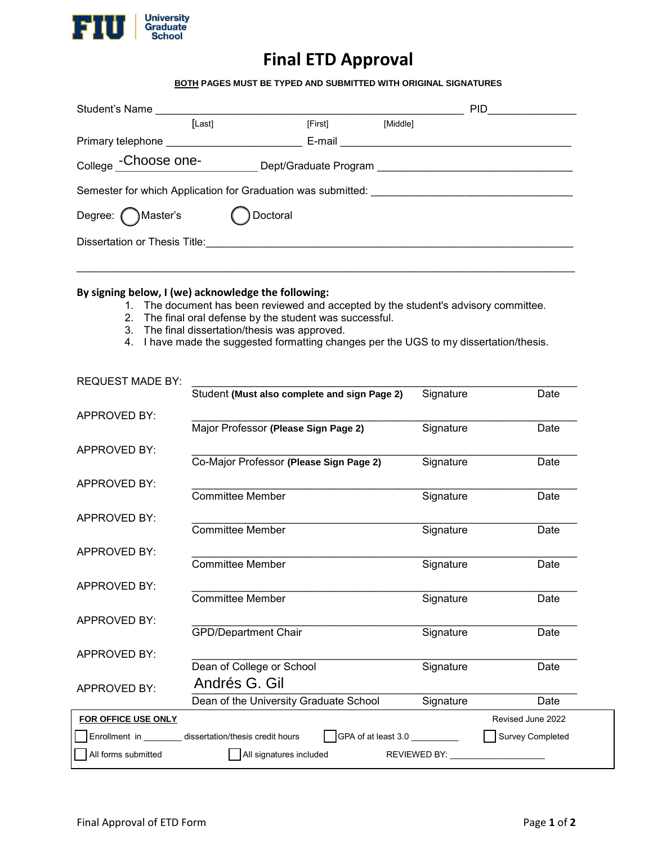

# **Final ETD Approval**

### **BOTH PAGES MUST BE TYPED AND SUBMITTED WITH ORIGINAL SIGNATURES**

| Student's Name                                               |                       |          | PID. |  |  |  |
|--------------------------------------------------------------|-----------------------|----------|------|--|--|--|
| [Last]                                                       | [First]               | [Middle] |      |  |  |  |
| Primary telephone _____________                              | E-mail                |          |      |  |  |  |
| College - Choose one-                                        | Dept/Graduate Program |          |      |  |  |  |
| Semester for which Application for Graduation was submitted: |                       |          |      |  |  |  |
| Degree: Master's                                             | Doctoral              |          |      |  |  |  |
| Dissertation or Thesis Title:                                |                       |          |      |  |  |  |
|                                                              |                       |          |      |  |  |  |

#### **By signing below, I (we) acknowledge the following:**

- 1. The document has been reviewed and accepted by the student's advisory committee.
- 2. The final oral defense by the student was successful.
- 3. The final dissertation/thesis was approved.
- 4. I have made the suggested formatting changes per the UGS to my dissertation/thesis.

| <b>REQUEST MADE BY:</b> |                                                                                 |              |                   |
|-------------------------|---------------------------------------------------------------------------------|--------------|-------------------|
|                         | Student (Must also complete and sign Page 2)                                    | Signature    | Date              |
| APPROVED BY:            |                                                                                 |              |                   |
|                         | Major Professor (Please Sign Page 2)                                            | Signature    | Date              |
| APPROVED BY:            |                                                                                 |              |                   |
|                         | Co-Major Professor (Please Sign Page 2)                                         | Signature    | Date              |
| APPROVED BY:            |                                                                                 |              |                   |
|                         | <b>Committee Member</b>                                                         | Signature    | Date              |
| <b>APPROVED BY:</b>     |                                                                                 |              |                   |
|                         | <b>Committee Member</b>                                                         | Signature    | Date              |
| <b>APPROVED BY:</b>     |                                                                                 |              |                   |
|                         | <b>Committee Member</b>                                                         | Signature    | Date              |
| <b>APPROVED BY:</b>     |                                                                                 |              |                   |
|                         | <b>Committee Member</b>                                                         | Signature    | Date              |
| APPROVED BY:            |                                                                                 |              |                   |
|                         | <b>GPD/Department Chair</b>                                                     | Signature    | Date              |
| <b>APPROVED BY:</b>     |                                                                                 |              |                   |
|                         | Dean of College or School                                                       | Signature    | Date              |
| <b>APPROVED BY:</b>     | Andrés G. Gil                                                                   |              |                   |
|                         | Dean of the University Graduate School                                          | Signature    | Date              |
| FOR OFFICE USE ONLY     |                                                                                 |              | Revised June 2022 |
|                         | GPA of at least 3.0 _________<br>Enrollment in dissertation/thesis credit hours |              | Survey Completed  |
| All forms submitted     | All signatures included                                                         | REVIEWED BY: |                   |